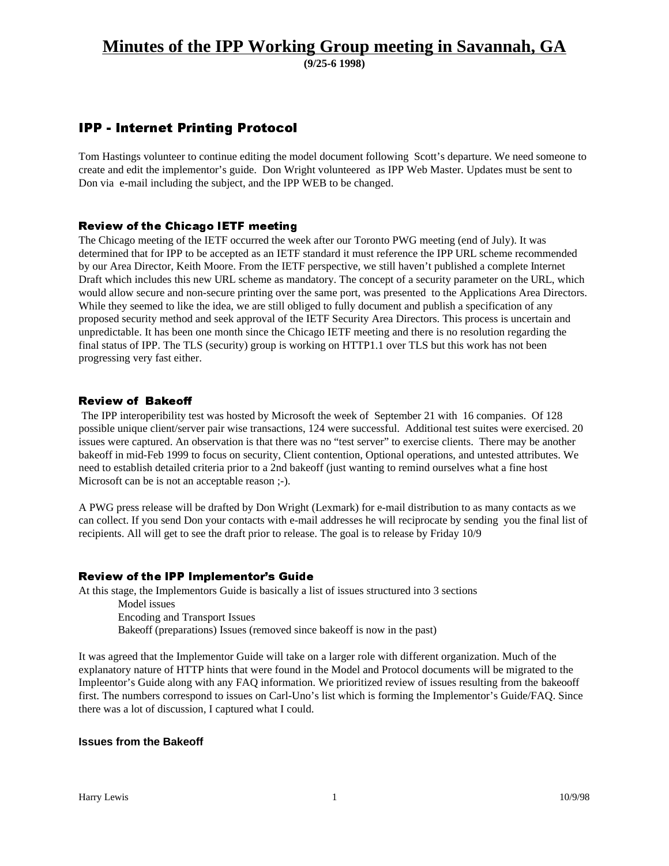**(9/25-6 1998)**

## IPP - Internet Printing Protocol

Tom Hastings volunteer to continue editing the model document following Scott's departure. We need someone to create and edit the implementor's guide. Don Wright volunteered as IPP Web Master. Updates must be sent to Don via e-mail including the subject, and the IPP WEB to be changed.

#### Review of the Chicago IETF meeting

The Chicago meeting of the IETF occurred the week after our Toronto PWG meeting (end of July). It was determined that for IPP to be accepted as an IETF standard it must reference the IPP URL scheme recommended by our Area Director, Keith Moore. From the IETF perspective, we still haven't published a complete Internet Draft which includes this new URL scheme as mandatory. The concept of a security parameter on the URL, which would allow secure and non-secure printing over the same port, was presented to the Applications Area Directors. While they seemed to like the idea, we are still obliged to fully document and publish a specification of any proposed security method and seek approval of the IETF Security Area Directors. This process is uncertain and unpredictable. It has been one month since the Chicago IETF meeting and there is no resolution regarding the final status of IPP. The TLS (security) group is working on HTTP1.1 over TLS but this work has not been progressing very fast either.

#### Review of Bakeoff

 The IPP interoperibility test was hosted by Microsoft the week of September 21 with 16 companies. Of 128 possible unique client/server pair wise transactions, 124 were successful. Additional test suites were exercised. 20 issues were captured. An observation is that there was no "test server" to exercise clients. There may be another bakeoff in mid-Feb 1999 to focus on security, Client contention, Optional operations, and untested attributes. We need to establish detailed criteria prior to a 2nd bakeoff (just wanting to remind ourselves what a fine host Microsoft can be is not an acceptable reason ;-).

A PWG press release will be drafted by Don Wright (Lexmark) for e-mail distribution to as many contacts as we can collect. If you send Don your contacts with e-mail addresses he will reciprocate by sending you the final list of recipients. All will get to see the draft prior to release. The goal is to release by Friday 10/9

#### Review of the IPP Implementor's Guide

At this stage, the Implementors Guide is basically a list of issues structured into 3 sections Model issues Encoding and Transport Issues Bakeoff (preparations) Issues (removed since bakeoff is now in the past)

It was agreed that the Implementor Guide will take on a larger role with different organization. Much of the explanatory nature of HTTP hints that were found in the Model and Protocol documents will be migrated to the Impleentor's Guide along with any FAQ information. We prioritized review of issues resulting from the bakeooff first. The numbers correspond to issues on Carl-Uno's list which is forming the Implementor's Guide/FAQ. Since there was a lot of discussion, I captured what I could.

#### **Issues from the Bakeoff**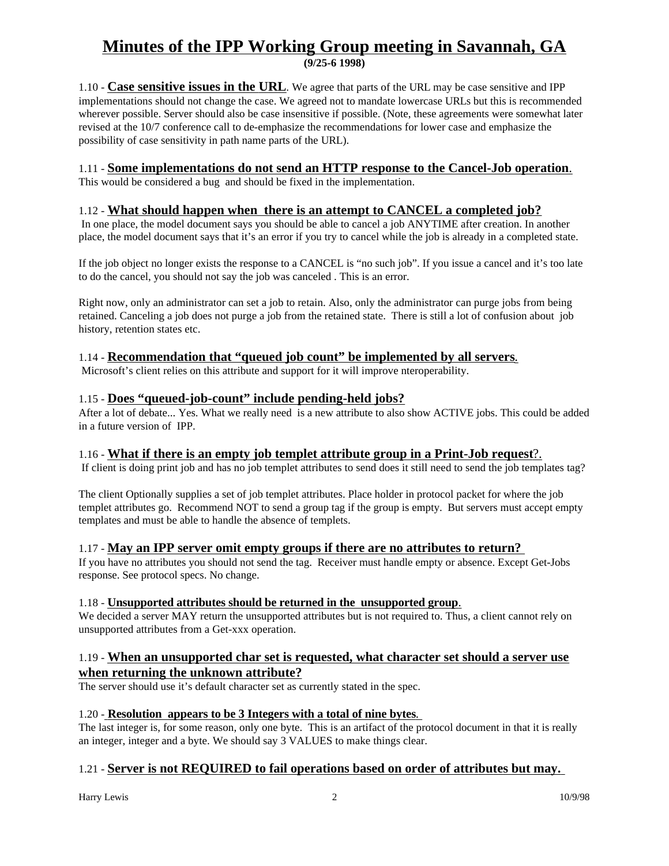**(9/25-6 1998)**

1.10 - **Case sensitive issues in the URL**. We agree that parts of the URL may be case sensitive and IPP implementations should not change the case. We agreed not to mandate lowercase URLs but this is recommended wherever possible. Server should also be case insensitive if possible. (Note, these agreements were somewhat later revised at the 10/7 conference call to de-emphasize the recommendations for lower case and emphasize the possibility of case sensitivity in path name parts of the URL).

## 1.11 - **Some implementations do not send an HTTP response to the Cancel-Job operation**.

This would be considered a bug and should be fixed in the implementation.

## 1.12 - **What should happen when there is an attempt to CANCEL a completed job?**

 In one place, the model document says you should be able to cancel a job ANYTIME after creation. In another place, the model document says that it's an error if you try to cancel while the job is already in a completed state.

If the job object no longer exists the response to a CANCEL is "no such job". If you issue a cancel and it's too late to do the cancel, you should not say the job was canceled . This is an error.

Right now, only an administrator can set a job to retain. Also, only the administrator can purge jobs from being retained. Canceling a job does not purge a job from the retained state. There is still a lot of confusion about job history, retention states etc.

### 1.14 - **Recommendation that "queued job count" be implemented by all servers**.

Microsoft's client relies on this attribute and support for it will improve nteroperability.

### 1.15 - **Does "queued-job-count" include pending-held jobs?**

After a lot of debate... Yes. What we really need is a new attribute to also show ACTIVE jobs. This could be added in a future version of IPP.

## 1.16 - **What if there is an empty job templet attribute group in a Print-Job request**?.

If client is doing print job and has no job templet attributes to send does it still need to send the job templates tag?

The client Optionally supplies a set of job templet attributes. Place holder in protocol packet for where the job templet attributes go. Recommend NOT to send a group tag if the group is empty. But servers must accept empty templates and must be able to handle the absence of templets.

#### 1.17 - **May an IPP server omit empty groups if there are no attributes to return?**

If you have no attributes you should not send the tag. Receiver must handle empty or absence. Except Get-Jobs response. See protocol specs. No change.

#### 1.18 - **Unsupported attributes should be returned in the unsupported group**.

We decided a server MAY return the unsupported attributes but is not required to. Thus, a client cannot rely on unsupported attributes from a Get-xxx operation.

### 1.19 - **When an unsupported char set is requested, what character set should a server use when returning the unknown attribute?**

The server should use it's default character set as currently stated in the spec.

#### 1.20 - **Resolution appears to be 3 Integers with a total of nine bytes**.

The last integer is, for some reason, only one byte. This is an artifact of the protocol document in that it is really an integer, integer and a byte. We should say 3 VALUES to make things clear.

## 1.21 - **Server is not REQUIRED to fail operations based on order of attributes but may.**

Harry Lewis 2 10/9/98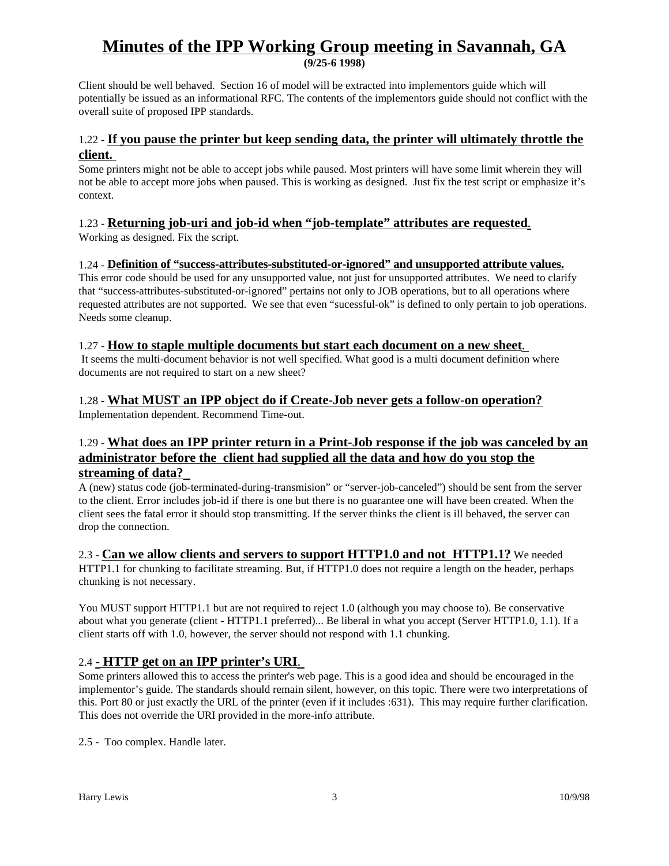**(9/25-6 1998)**

Client should be well behaved. Section 16 of model will be extracted into implementors guide which will potentially be issued as an informational RFC. The contents of the implementors guide should not conflict with the overall suite of proposed IPP standards.

## 1.22 - **If you pause the printer but keep sending data, the printer will ultimately throttle the client.**

Some printers might not be able to accept jobs while paused. Most printers will have some limit wherein they will not be able to accept more jobs when paused. This is working as designed. Just fix the test script or emphasize it's context.

## 1.23 - **Returning job-uri and job-id when "job-template" attributes are requested**.

Working as designed. Fix the script.

### 1.24 - **Definition of "success-attributes-substituted-or-ignored" and unsupported attribute values.**

This error code should be used for any unsupported value, not just for unsupported attributes. We need to clarify that "success-attributes-substituted-or-ignored" pertains not only to JOB operations, but to all operations where requested attributes are not supported. We see that even "sucessful-ok" is defined to only pertain to job operations. Needs some cleanup.

## 1.27 - **How to staple multiple documents but start each document on a new sheet**.

 It seems the multi-document behavior is not well specified. What good is a multi document definition where documents are not required to start on a new sheet?

## 1.28 - **What MUST an IPP object do if Create-Job never gets a follow-on operation?**

Implementation dependent. Recommend Time-out.

## 1.29 - **What does an IPP printer return in a Print-Job response if the job was canceled by an administrator before the client had supplied all the data and how do you stop the streaming of data?**

A (new) status code (job-terminated-during-transmision" or "server-job-canceled") should be sent from the server to the client. Error includes job-id if there is one but there is no guarantee one will have been created. When the client sees the fatal error it should stop transmitting. If the server thinks the client is ill behaved, the server can drop the connection.

#### 2.3 - **Can we allow clients and servers to support HTTP1.0 and not HTTP1.1?** We needed HTTP1.1 for chunking to facilitate streaming. But, if HTTP1.0 does not require a length on the header, perhaps chunking is not necessary.

You MUST support HTTP1.1 but are not required to reject 1.0 (although you may choose to). Be conservative about what you generate (client - HTTP1.1 preferred)... Be liberal in what you accept (Server HTTP1.0, 1.1). If a client starts off with 1.0, however, the server should not respond with 1.1 chunking.

## 2.4 - **HTTP get on an IPP printer's URI**.

Some printers allowed this to access the printer's web page. This is a good idea and should be encouraged in the implementor's guide. The standards should remain silent, however, on this topic. There were two interpretations of this. Port 80 or just exactly the URL of the printer (even if it includes :631). This may require further clarification. This does not override the URI provided in the more-info attribute.

2.5 - Too complex. Handle later.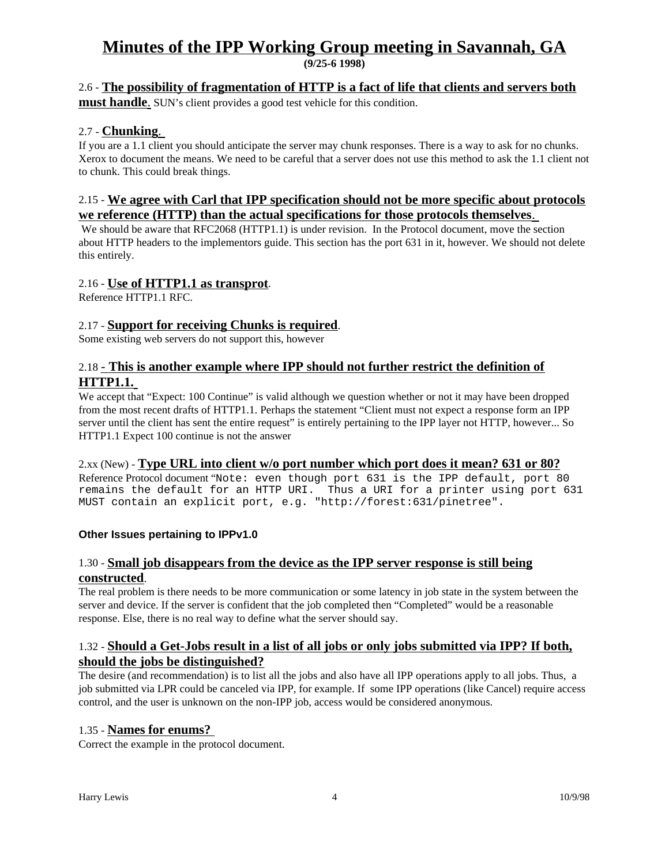**(9/25-6 1998)**

## 2.6 - **The possibility of fragmentation of HTTP is a fact of life that clients and servers both**

**must handle**. SUN's client provides a good test vehicle for this condition.

### 2.7 - **Chunking**.

If you are a 1.1 client you should anticipate the server may chunk responses. There is a way to ask for no chunks. Xerox to document the means. We need to be careful that a server does not use this method to ask the 1.1 client not to chunk. This could break things.

## 2.15 - **We agree with Carl that IPP specification should not be more specific about protocols we reference (HTTP) than the actual specifications for those protocols themselves**.

We should be aware that RFC2068 (HTTP1.1) is under revision. In the Protocol document, move the section about HTTP headers to the implementors guide. This section has the port 631 in it, however. We should not delete this entirely.

### 2.16 - **Use of HTTP1.1 as transprot**.

Reference HTTP1.1 RFC.

### 2.17 - **Support for receiving Chunks is required**.

Some existing web servers do not support this, however

## 2.18 - **This is another example where IPP should not further restrict the definition of HTTP1.1.**

We accept that "Expect: 100 Continue" is valid although we question whether or not it may have been dropped from the most recent drafts of HTTP1.1. Perhaps the statement "Client must not expect a response form an IPP server until the client has sent the entire request" is entirely pertaining to the IPP layer not HTTP, however... So HTTP1.1 Expect 100 continue is not the answer

#### 2.xx (New) - **Type URL into client w/o port number which port does it mean? 631 or 80?** Reference Protocol document "Note: even though port 631 is the IPP default, port 80 remains the default for an HTTP URI. Thus a URI for a printer using port 631

## **Other Issues pertaining to IPPv1.0**

## 1.30 - **Small job disappears from the device as the IPP server response is still being constructed**.

MUST contain an explicit port, e.g. "http://forest:631/pinetree".

The real problem is there needs to be more communication or some latency in job state in the system between the server and device. If the server is confident that the job completed then "Completed" would be a reasonable response. Else, there is no real way to define what the server should say.

### 1.32 - **Should a Get-Jobs result in a list of all jobs or only jobs submitted via IPP? If both, should the jobs be distinguished?**

The desire (and recommendation) is to list all the jobs and also have all IPP operations apply to all jobs. Thus, a job submitted via LPR could be canceled via IPP, for example. If some IPP operations (like Cancel) require access control, and the user is unknown on the non-IPP job, access would be considered anonymous.

#### 1.35 - **Names for enums?**

Correct the example in the protocol document.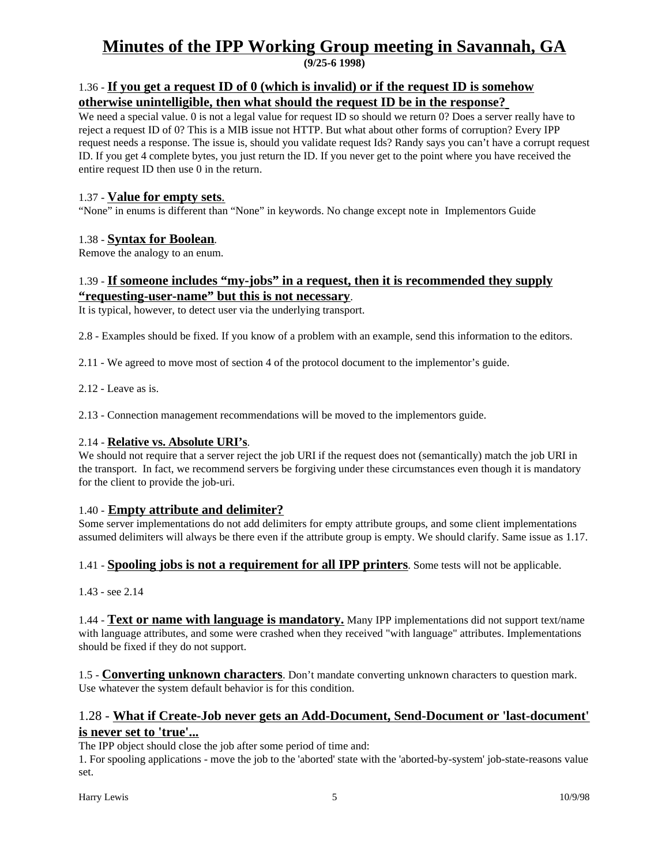**(9/25-6 1998)**

## 1.36 - **If you get a request ID of 0 (which is invalid) or if the request ID is somehow otherwise unintelligible, then what should the request ID be in the response?**

We need a special value. 0 is not a legal value for request ID so should we return 0? Does a server really have to reject a request ID of 0? This is a MIB issue not HTTP. But what about other forms of corruption? Every IPP request needs a response. The issue is, should you validate request Ids? Randy says you can't have a corrupt request ID. If you get 4 complete bytes, you just return the ID. If you never get to the point where you have received the entire request ID then use 0 in the return.

## 1.37 - **Value for empty sets**.

"None" in enums is different than "None" in keywords. No change except note in Implementors Guide

## 1.38 - **Syntax for Boolean**.

Remove the analogy to an enum.

## 1.39 - **If someone includes "my-jobs" in a request, then it is recommended they supply "requesting-user-name" but this is not necessary**.

It is typical, however, to detect user via the underlying transport.

2.8 - Examples should be fixed. If you know of a problem with an example, send this information to the editors.

2.11 - We agreed to move most of section 4 of the protocol document to the implementor's guide.

2.12 - Leave as is.

2.13 - Connection management recommendations will be moved to the implementors guide.

## 2.14 - **Relative vs. Absolute URI's**.

We should not require that a server reject the job URI if the request does not (semantically) match the job URI in the transport. In fact, we recommend servers be forgiving under these circumstances even though it is mandatory for the client to provide the job-uri.

## 1.40 - **Empty attribute and delimiter?**

Some server implementations do not add delimiters for empty attribute groups, and some client implementations assumed delimiters will always be there even if the attribute group is empty. We should clarify. Same issue as 1.17.

## 1.41 - **Spooling jobs is not a requirement for all IPP printers**. Some tests will not be applicable.

1.43 - see 2.14

1.44 - **Text or name with language is mandatory.** Many IPP implementations did not support text/name with language attributes, and some were crashed when they received "with language" attributes. Implementations should be fixed if they do not support.

1.5 - **Converting unknown characters**. Don't mandate converting unknown characters to question mark. Use whatever the system default behavior is for this condition.

## 1.28 - **What if Create-Job never gets an Add-Document, Send-Document or 'last-document' is never set to 'true'...**

The IPP object should close the job after some period of time and:

1. For spooling applications - move the job to the 'aborted' state with the 'aborted-by-system' job-state-reasons value set.

Harry Lewis 10/9/98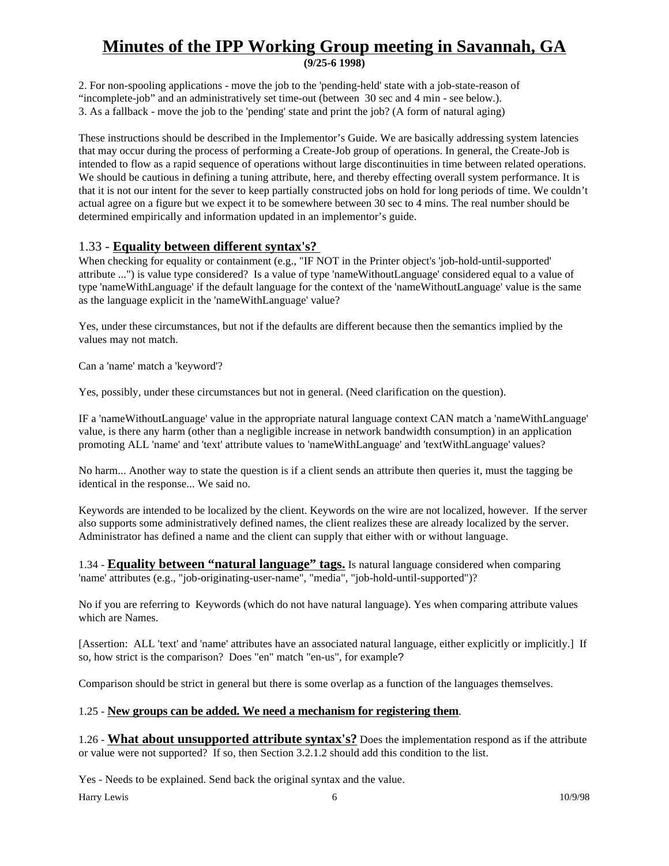**(9/25-6 1998)**

2. For non-spooling applications - move the job to the 'pending-held' state with a job-state-reason of "incomplete-job" and an administratively set time-out (between 30 sec and 4 min - see below.). 3. As a fallback - move the job to the 'pending' state and print the job? (A form of natural aging)

These instructions should be described in the Implementor's Guide. We are basically addressing system latencies that may occur during the process of performing a Create-Job group of operations. In general, the Create-Job is intended to flow as a rapid sequence of operations without large discontinuities in time between related operations. We should be cautious in defining a tuning attribute, here, and thereby effecting overall system performance. It is that it is not our intent for the sever to keep partially constructed jobs on hold for long periods of time. We couldn't actual agree on a figure but we expect it to be somewhere between 30 sec to 4 mins. The real number should be determined empirically and information updated in an implementor's guide.

## 1.33 - **Equality between different syntax's?**

When checking for equality or containment (e.g., "IF NOT in the Printer object's 'job-hold-until-supported' attribute ...") is value type considered? Is a value of type 'nameWithoutLanguage' considered equal to a value of type 'nameWithLanguage' if the default language for the context of the 'nameWithoutLanguage' value is the same as the language explicit in the 'nameWithLanguage' value?

Yes, under these circumstances, but not if the defaults are different because then the semantics implied by the values may not match.

Can a 'name' match a 'keyword'?

Yes, possibly, under these circumstances but not in general. (Need clarification on the question).

IF a 'nameWithoutLanguage' value in the appropriate natural language context CAN match a 'nameWithLanguage' value, is there any harm (other than a negligible increase in network bandwidth consumption) in an application promoting ALL 'name' and 'text' attribute values to 'nameWithLanguage' and 'textWithLanguage' values?

No harm... Another way to state the question is if a client sends an attribute then queries it, must the tagging be identical in the response... We said no.

Keywords are intended to be localized by the client. Keywords on the wire are not localized, however. If the server also supports some administratively defined names, the client realizes these are already localized by the server. Administrator has defined a name and the client can supply that either with or without language.

1.34 - **Equality between "natural language" tags.** Is natural language considered when comparing 'name' attributes (e.g., "job-originating-user-name", "media", "job-hold-until-supported")?

No if you are referring to Keywords (which do not have natural language). Yes when comparing attribute values which are Names.

[Assertion: ALL 'text' and 'name' attributes have an associated natural language, either explicitly or implicitly.] If so, how strict is the comparison? Does "en" match "en-us", for example?

Comparison should be strict in general but there is some overlap as a function of the languages themselves.

#### 1.25 - **New groups can be added. We need a mechanism for registering them**.

1.26 - **What about unsupported attribute syntax's?** Does the implementation respond as if the attribute or value were not supported? If so, then Section 3.2.1.2 should add this condition to the list.

Yes - Needs to be explained. Send back the original syntax and the value.

Harry Lewis 10/9/98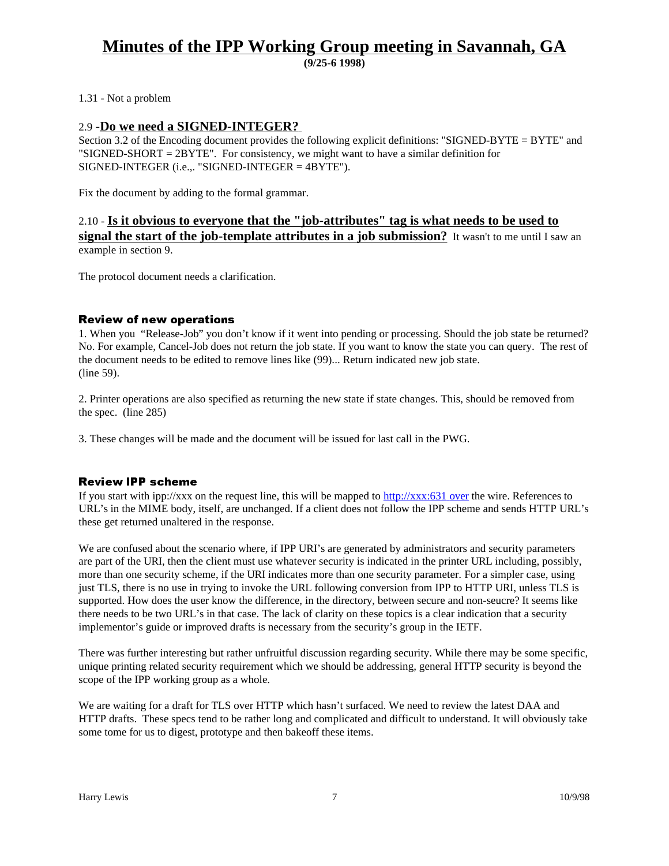**(9/25-6 1998)**

#### 1.31 - Not a problem

#### 2.9 -**Do we need a SIGNED-INTEGER?**

Section 3.2 of the Encoding document provides the following explicit definitions: "SIGNED-BYTE = BYTE" and "SIGNED-SHORT = 2BYTE". For consistency, we might want to have a similar definition for SIGNED-INTEGER (i.e.,. "SIGNED-INTEGER = 4BYTE").

Fix the document by adding to the formal grammar.

## 2.10 - **Is it obvious to everyone that the "job-attributes" tag is what needs to be used to signal the start of the job-template attributes in a job submission?** It wasn't to me until I saw an example in section 9.

The protocol document needs a clarification.

#### Review of new operations

1. When you "Release-Job" you don't know if it went into pending or processing. Should the job state be returned? No. For example, Cancel-Job does not return the job state. If you want to know the state you can query. The rest of the document needs to be edited to remove lines like (99)... Return indicated new job state. (line 59).

2. Printer operations are also specified as returning the new state if state changes. This, should be removed from the spec. (line 285)

3. These changes will be made and the document will be issued for last call in the PWG.

#### **Review IPP scheme**

If you start with ipp://xxx on the request line, this will be mapped to http://xxx:631 over the wire. References to URL's in the MIME body, itself, are unchanged. If a client does not follow the IPP scheme and sends HTTP URL's these get returned unaltered in the response.

We are confused about the scenario where, if IPP URI's are generated by administrators and security parameters are part of the URI, then the client must use whatever security is indicated in the printer URL including, possibly, more than one security scheme, if the URI indicates more than one security parameter. For a simpler case, using just TLS, there is no use in trying to invoke the URL following conversion from IPP to HTTP URI, unless TLS is supported. How does the user know the difference, in the directory, between secure and non-seucre? It seems like there needs to be two URL's in that case. The lack of clarity on these topics is a clear indication that a security implementor's guide or improved drafts is necessary from the security's group in the IETF.

There was further interesting but rather unfruitful discussion regarding security. While there may be some specific, unique printing related security requirement which we should be addressing, general HTTP security is beyond the scope of the IPP working group as a whole.

We are waiting for a draft for TLS over HTTP which hasn't surfaced. We need to review the latest DAA and HTTP drafts. These specs tend to be rather long and complicated and difficult to understand. It will obviously take some tome for us to digest, prototype and then bakeoff these items.